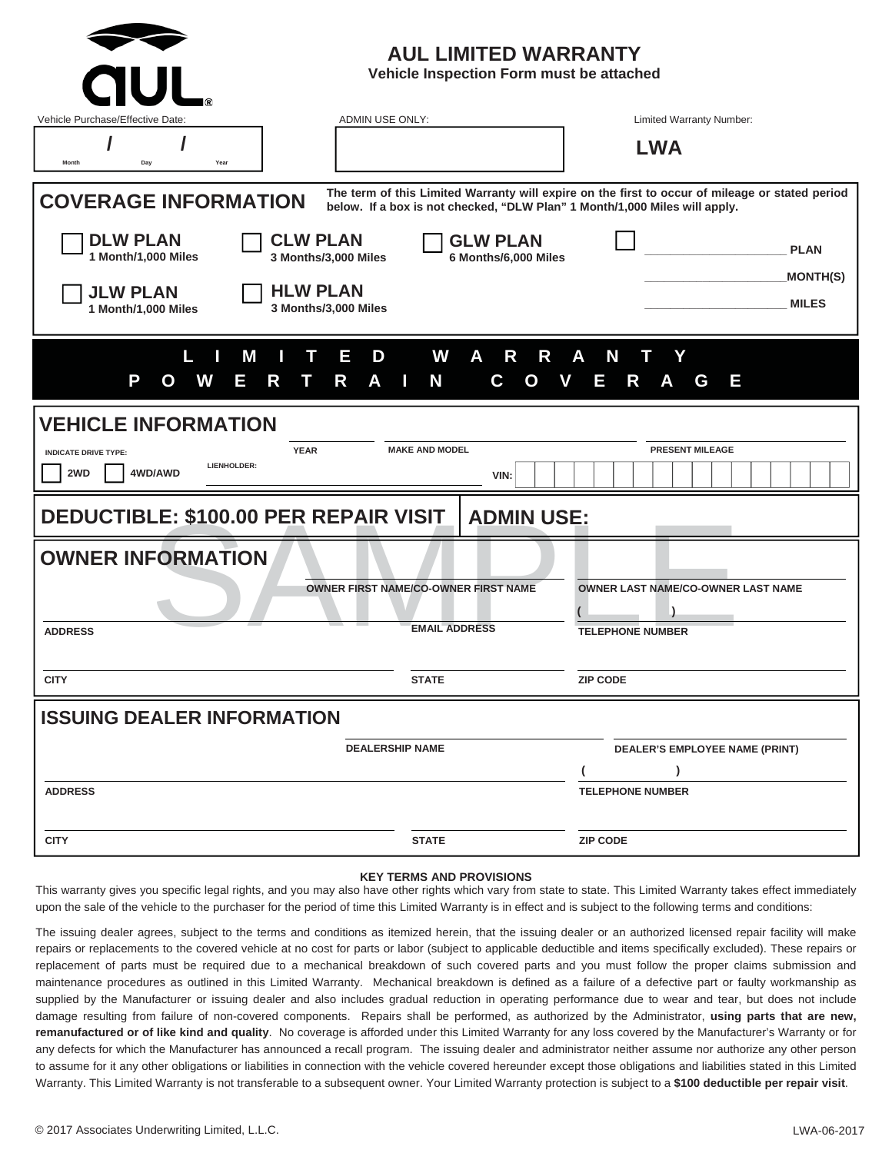| <b>AUL LIMITED WARRANTY</b><br>Vehicle Inspection Form must be attached<br><b>CIUL</b>                                                                                                                       |                                             |                                       |
|--------------------------------------------------------------------------------------------------------------------------------------------------------------------------------------------------------------|---------------------------------------------|---------------------------------------|
| ADMIN USE ONLY:<br>Vehicle Purchase/Effective Date:                                                                                                                                                          |                                             | Limited Warranty Number:              |
| Day<br>Year<br>Month                                                                                                                                                                                         |                                             | <b>LWA</b>                            |
| The term of this Limited Warranty will expire on the first to occur of mileage or stated period<br><b>COVERAGE INFORMATION</b><br>below. If a box is not checked, "DLW Plan" 1 Month/1,000 Miles will apply. |                                             |                                       |
| <b>DLW PLAN</b><br><b>CLW PLAN</b><br>1 Month/1,000 Miles<br>3 Months/3,000 Miles                                                                                                                            | <b>GLW PLAN</b><br>6 Months/6,000 Miles     | <b>PLAN</b>                           |
| <b>HLW PLAN</b><br><b>JLW PLAN</b><br>3 Months/3,000 Miles<br>1 Month/1,000 Miles                                                                                                                            |                                             | <b>MONTH(S)</b><br><b>MILES</b>       |
| L<br>П<br>Е<br>D<br>M<br>т<br>P<br>A<br>w<br>Е<br>R<br>R<br>O<br>П                                                                                                                                           | W<br>A<br>R<br>R<br>N<br>Ш<br>C.<br>O<br>V  | N<br>Υ<br>A<br>Е<br>R<br>G<br>Ε       |
| <b>VEHICLE INFORMATION</b>                                                                                                                                                                                   |                                             |                                       |
| <b>YEAR</b><br><b>INDICATE DRIVE TYPE:</b><br>LIENHOLDER:<br>4WD/AWD<br>2WD                                                                                                                                  | <b>MAKE AND MODEL</b><br>VIN:               | <b>PRESENT MILEAGE</b>                |
| <b>DEDUCTIBLE: \$100.00 PER REPAIR VISIT</b><br><b>ADMIN USE:</b>                                                                                                                                            |                                             |                                       |
| <b>OWNER INFORMATION</b>                                                                                                                                                                                     |                                             |                                       |
|                                                                                                                                                                                                              | <b>OWNER FIRST NAME/CO-OWNER FIRST NAME</b> | OWNER LAST NAME/CO-OWNER LAST NAME    |
| <b>ADDRESS</b>                                                                                                                                                                                               | <b>EMAIL ADDRESS</b>                        | <b>TELEPHONE NUMBER</b>               |
| <b>CITY</b>                                                                                                                                                                                                  | <b>STATE</b>                                | <b>ZIP CODE</b>                       |
| <b>ISSUING DEALER INFORMATION</b>                                                                                                                                                                            |                                             |                                       |
| <b>DEALERSHIP NAME</b>                                                                                                                                                                                       |                                             | <b>DEALER'S EMPLOYEE NAME (PRINT)</b> |
| <b>ADDRESS</b>                                                                                                                                                                                               |                                             | <b>TELEPHONE NUMBER</b>               |
| <b>CITY</b>                                                                                                                                                                                                  | <b>STATE</b>                                | <b>ZIP CODE</b>                       |

#### **KEY TERMS AND PROVISIONS**

This warranty gives you specific legal rights, and you may also have other rights which vary from state to state. This Limited Warranty takes effect immediately upon the sale of the vehicle to the purchaser for the period of time this Limited Warranty is in effect and is subject to the following terms and conditions:

The issuing dealer agrees, subject to the terms and conditions as itemized herein, that the issuing dealer or an authorized licensed repair facility will make repairs or replacements to the covered vehicle at no cost for parts or labor (subject to applicable deductible and items specifically excluded). These repairs or replacement of parts must be required due to a mechanical breakdown of such covered parts and you must follow the proper claims submission and maintenance procedures as outlined in this Limited Warranty. Mechanical breakdown is defined as a failure of a defective part or faulty workmanship as supplied by the Manufacturer or issuing dealer and also includes gradual reduction in operating performance due to wear and tear, but does not include damage resulting from failure of non-covered components. Repairs shall be performed, as authorized by the Administrator, **using parts that are new, remanufactured or of like kind and quality**. No coverage is afforded under this Limited Warranty for any loss covered by the Manufacturer's Warranty or for any defects for which the Manufacturer has announced a recall program. The issuing dealer and administrator neither assume nor authorize any other person to assume for it any other obligations or liabilities in connection with the vehicle covered hereunder except those obligations and liabilities stated in this Limited Warranty. This Limited Warranty is not transferable to a subsequent owner. Your Limited Warranty protection is subject to a \$100 deductible per repair visit.